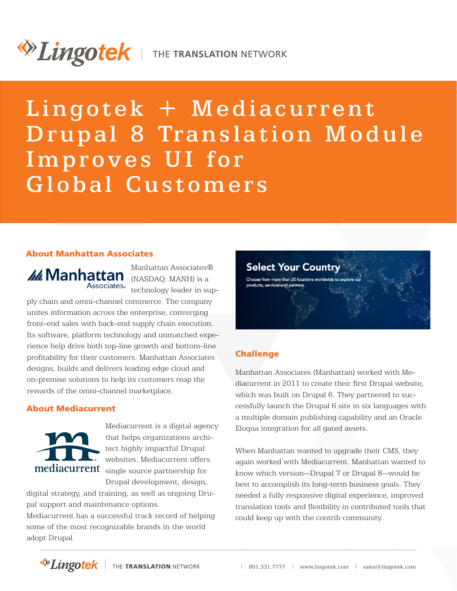# *Dingotek* | THE TRANSLATION NETWORK

## Lingotek + Mediacurrent Drupal 8 Translation Module Improves UI for Global Customers

#### About Manhattan Associates

*M* Manhattan (NASDAQ: MANH) is a

Manhattan Associates® Associates. technology leader in sup-

ply chain and omni-channel commerce. The company unites information across the enterprise, converging front-end sales with back-end supply chain execution. Its software, platform technology and unmatched experience help drive both top-line growth and bottom-line profitability for their customers. Manhattan Associates designs, builds and delivers leading edge cloud and on-premise solutions to help its customers reap the rewards of the omni-channel marketplace.

#### [About Mediacurrent](http://www.mediacurrent.com)



[Mediacurrent](http://www.mediacurrent.com) is a digital agency that helps organizations architect highly impactful Drupal websites. Mediacurrent offers mediacurrent single source partnership for Drupal development, design,

digital strategy, and training, as well as ongoing Drupal support and maintenance options.

Mediacurrent has a successful track record of helping some of the most recognizable brands in the world adopt Drupal.



#### **Challenge**

Manhattan Associates (Manhattan) worked with Mediacurrent in 2011 to create their first Drupal website, which was built on Drupal 6. They partnered to successfully launch the Drupal 6 site in six languages with a multiple domain publishing capability and an Oracle Eloqua integration for all gated assets.

When Manhattan wanted to upgrade their CMS, they again worked with Mediacurrent. Manhattan wanted to know which version--Drupal 7 or Drupal 8--would be best to accomplish its long-term business goals. They needed a fully responsive digital experience, improved translation tools and flexibility in contributed tools that could keep up with the contrib community.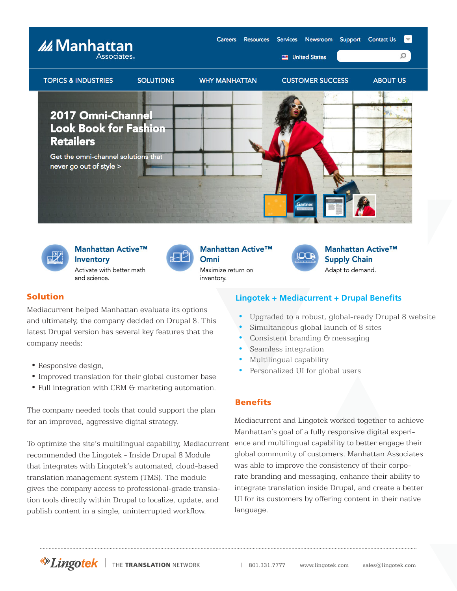



Manhattan Active™

Inventory Activate with better math and science.



Manhattan Active™ Omni Maximize return on

inventory.



#### Manhattan Active™ **Supply Chain** Adapt to demand.

#### Solution

Mediacurrent helped Manhattan evaluate its options and ultimately, the company decided on Drupal 8. This latest Drupal version has several key features that the company needs:

- Responsive design,
- Improved translation for their global customer base
- Full integration with CRM  $G$  marketing automation.

The company needed tools that could support the plan for an improved, aggressive digital strategy.

To optimize the site's multilingual capability, Mediacurrent recommended the Lingotek - Inside Drupal 8 Module that integrates with Lingotek's automated, cloud-based translation management system (TMS). The module gives the company access to professional-grade translation tools directly within Drupal to localize, update, and publish content in a single, uninterrupted workflow.

#### **Lingotek + Mediacurrent + Drupal Benefits**

- Upgraded to a robust, global-ready Drupal 8 website
- Simultaneous global launch of 8 sites
- Consistent branding G messaging
- Seamless integration
- Multilingual capability
- Personalized UI for global users

#### Benefits

Mediacurrent and Lingotek worked together to achieve Manhattan's goal of a fully responsive digital experience and multilingual capability to better engage their global community of customers. Manhattan Associates was able to improve the consistency of their corporate branding and messaging, enhance their ability to integrate translation inside Drupal, and create a better UI for its customers by offering content in their native language.